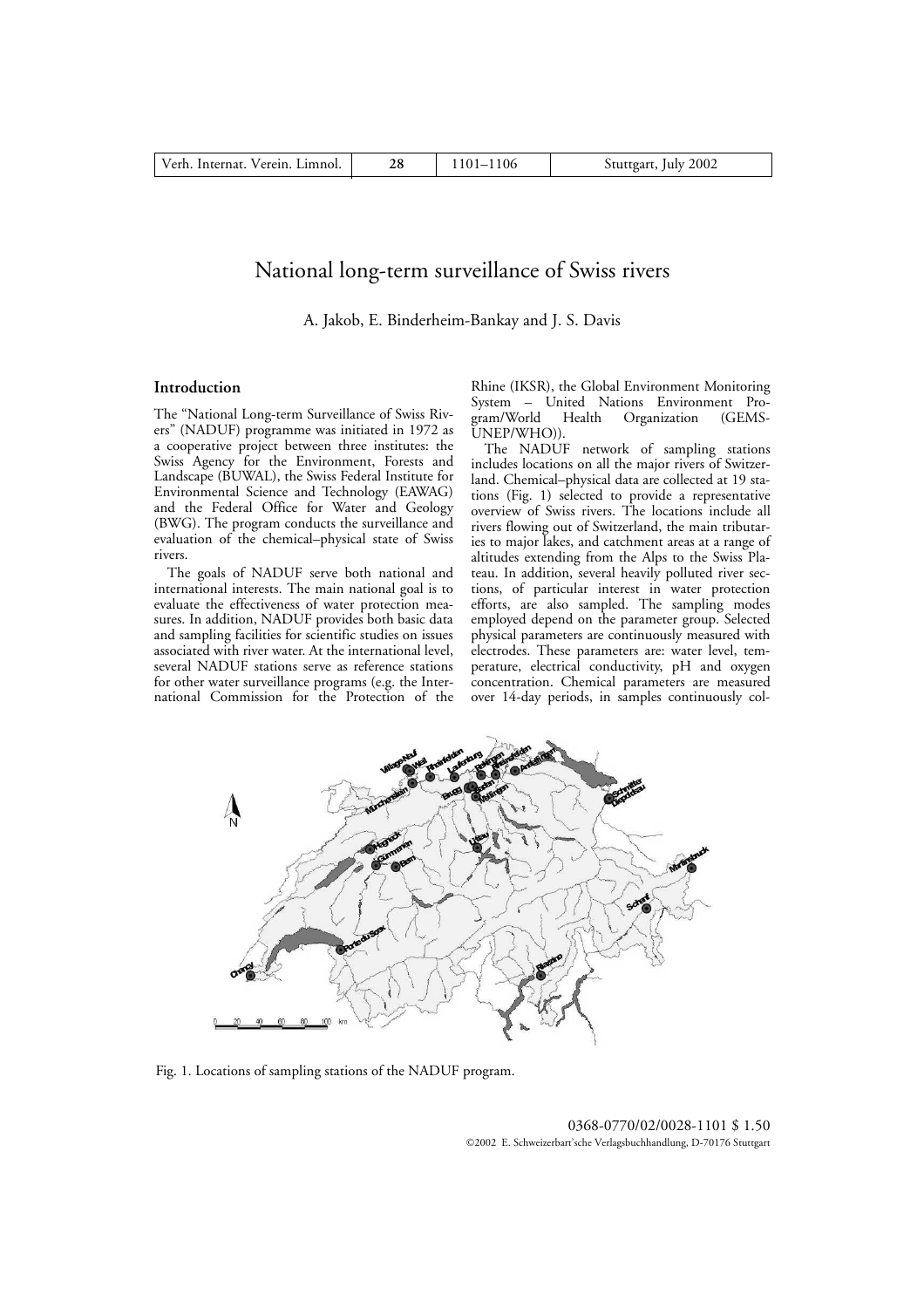# National long-term surveillance of Swiss rivers

A. Jakob, E. Binderheim-Bankay and J. S. Davis

## **Introduction**

The "National Long-term Surveillance of Swiss Rivers" (NADUF) programme was initiated in 1972 as a cooperative project between three institutes: the Swiss Agency for the Environment, Forests and Landscape (BUWAL), the Swiss Federal Institute for Environmental Science and Technology (EAWAG) and the Federal Office for Water and Geology (BWG). The program conducts the surveillance and evaluation of the chemical–physical state of Swiss rivers.

The goals of NADUF serve both national and international interests. The main national goal is to evaluate the effectiveness of water protection measures. In addition, NADUF provides both basic data and sampling facilities for scientific studies on issues associated with river water. At the international level, several NADUF stations serve as reference stations for other water surveillance programs (e.g. the International Commission for the Protection of the Rhine (IKSR), the Global Environment Monitoring System – United Nations Environment Pro-Organization (GEMS-UNEP/WHO)).

The NADUF network of sampling stations includes locations on all the major rivers of Switzerland. Chemical–physical data are collected at 19 stations (Fig. 1) selected to provide a representative overview of Swiss rivers. The locations include all rivers flowing out of Switzerland, the main tributaries to major lakes, and catchment areas at a range of altitudes extending from the Alps to the Swiss Plateau. In addition, several heavily polluted river sections, of particular interest in water protection efforts, are also sampled. The sampling modes employed depend on the parameter group. Selected physical parameters are continuously measured with electrodes. These parameters are: water level, temperature, electrical conductivity, pH and oxygen concentration. Chemical parameters are measured over 14-day periods, in samples continuously col-



Fig. 1. Locations of sampling stations of the NADUF program.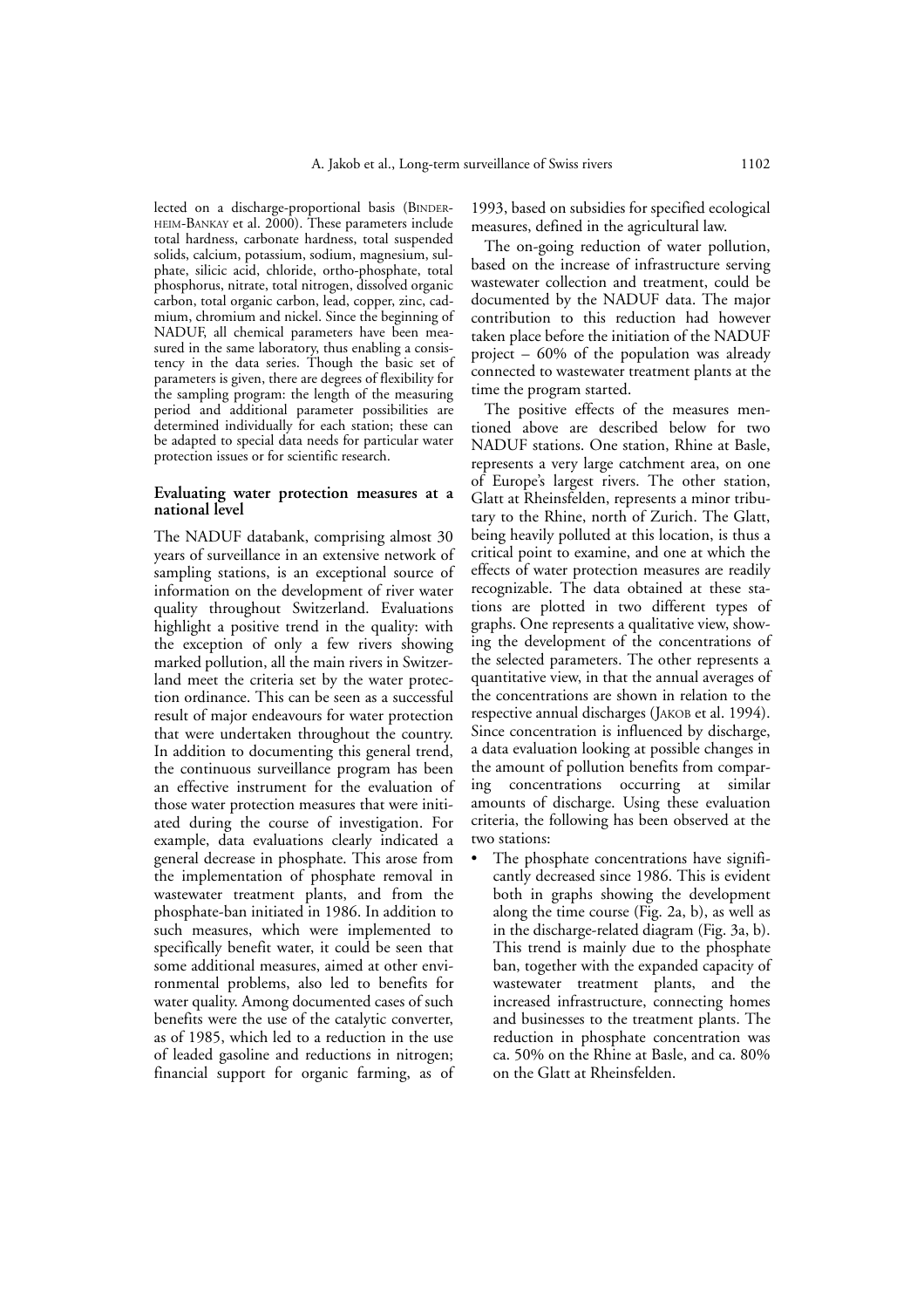lected on a discharge-proportional basis (BINDER-HEIM-BANKAY et al. 2000). These parameters include total hardness, carbonate hardness, total suspended solids, calcium, potassium, sodium, magnesium, sulphate, silicic acid, chloride, ortho-phosphate, total phosphorus, nitrate, total nitrogen, dissolved organic carbon, total organic carbon, lead, copper, zinc, cadmium, chromium and nickel. Since the beginning of NADUF, all chemical parameters have been measured in the same laboratory, thus enabling a consistency in the data series. Though the basic set of parameters is given, there are degrees of flexibility for the sampling program: the length of the measuring period and additional parameter possibilities are determined individually for each station; these can be adapted to special data needs for particular water protection issues or for scientific research.

# **Evaluating water protection measures at a national level**

The NADUF databank, comprising almost 30 years of surveillance in an extensive network of sampling stations, is an exceptional source of information on the development of river water quality throughout Switzerland. Evaluations highlight a positive trend in the quality: with the exception of only a few rivers showing marked pollution, all the main rivers in Switzerland meet the criteria set by the water protection ordinance. This can be seen as a successful result of major endeavours for water protection that were undertaken throughout the country. In addition to documenting this general trend, the continuous surveillance program has been an effective instrument for the evaluation of those water protection measures that were initiated during the course of investigation. For example, data evaluations clearly indicated a general decrease in phosphate. This arose from the implementation of phosphate removal in wastewater treatment plants, and from the phosphate-ban initiated in 1986. In addition to such measures, which were implemented to specifically benefit water, it could be seen that some additional measures, aimed at other environmental problems, also led to benefits for water quality. Among documented cases of such benefits were the use of the catalytic converter, as of 1985, which led to a reduction in the use of leaded gasoline and reductions in nitrogen; financial support for organic farming, as of 1993, based on subsidies for specified ecological measures, defined in the agricultural law.

The on-going reduction of water pollution, based on the increase of infrastructure serving wastewater collection and treatment, could be documented by the NADUF data. The major contribution to this reduction had however taken place before the initiation of the NADUF project – 60% of the population was already connected to wastewater treatment plants at the time the program started.

The positive effects of the measures mentioned above are described below for two NADUF stations. One station, Rhine at Basle, represents a very large catchment area, on one of Europe's largest rivers. The other station, Glatt at Rheinsfelden, represents a minor tributary to the Rhine, north of Zurich. The Glatt, being heavily polluted at this location, is thus a critical point to examine, and one at which the effects of water protection measures are readily recognizable. The data obtained at these stations are plotted in two different types of graphs. One represents a qualitative view, showing the development of the concentrations of the selected parameters. The other represents a quantitative view, in that the annual averages of the concentrations are shown in relation to the respective annual discharges (JAKOB et al. 1994). Since concentration is influenced by discharge, a data evaluation looking at possible changes in the amount of pollution benefits from comparing concentrations occurring at similar amounts of discharge. Using these evaluation criteria, the following has been observed at the two stations:

The phosphate concentrations have significantly decreased since 1986. This is evident both in graphs showing the development along the time course (Fig. 2a, b), as well as in the discharge-related diagram (Fig. 3a, b). This trend is mainly due to the phosphate ban, together with the expanded capacity of wastewater treatment plants, and the increased infrastructure, connecting homes and businesses to the treatment plants. The reduction in phosphate concentration was ca. 50% on the Rhine at Basle, and ca. 80% on the Glatt at Rheinsfelden.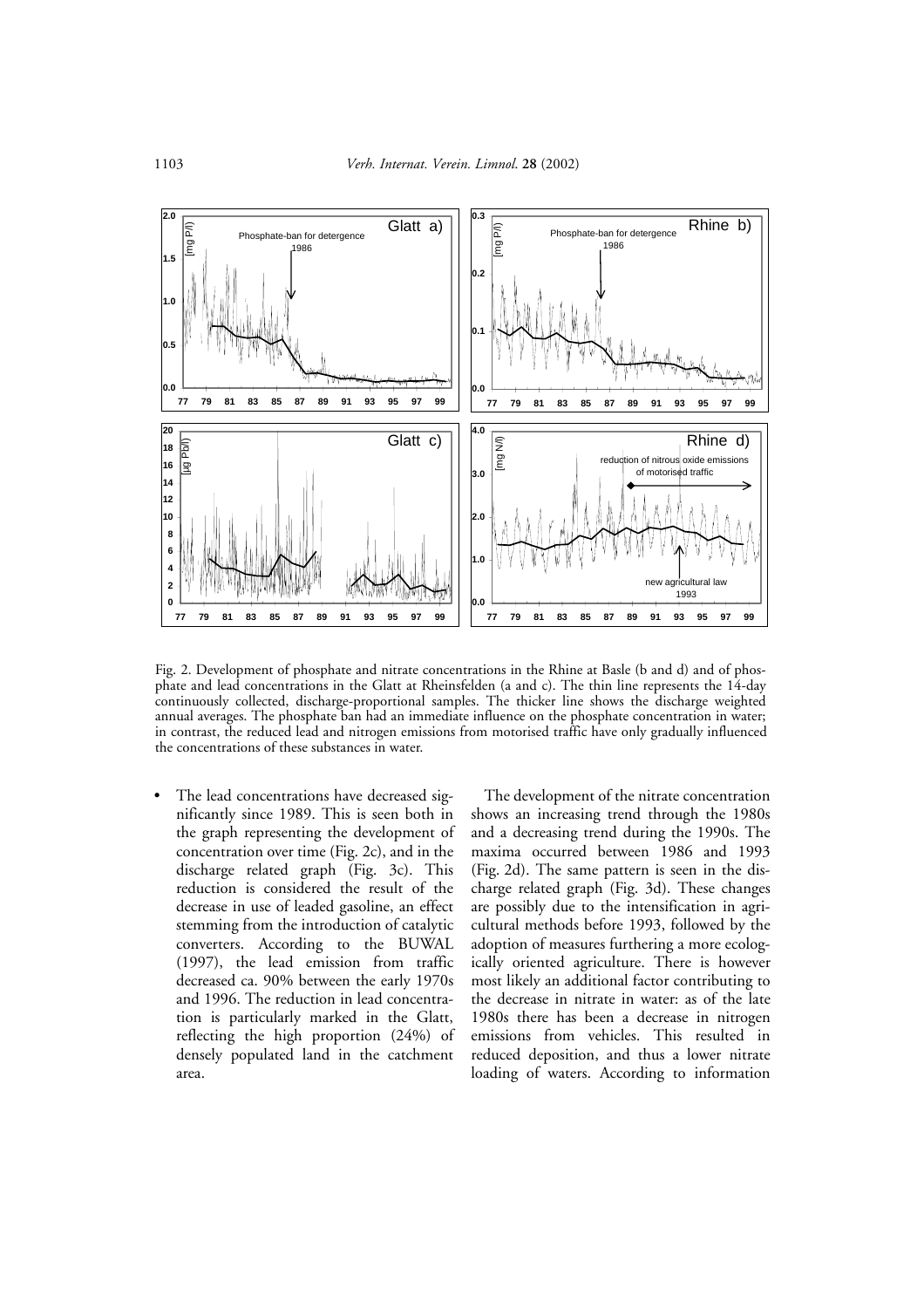

Fig. 2. Development of phosphate and nitrate concentrations in the Rhine at Basle (b and d) and of phosphate and lead concentrations in the Glatt at Rheinsfelden (a and c). The thin line represents the 14-day continuously collected, discharge-proportional samples. The thicker line shows the discharge weighted annual averages. The phosphate ban had an immediate influence on the phosphate concentration in water; in contrast, the reduced lead and nitrogen emissions from motorised traffic have only gradually influenced the concentrations of these substances in water.

• The lead concentrations have decreased significantly since 1989. This is seen both in the graph representing the development of concentration over time (Fig. 2c), and in the discharge related graph (Fig. 3c). This reduction is considered the result of the decrease in use of leaded gasoline, an effect stemming from the introduction of catalytic converters. According to the BUWAL (1997), the lead emission from traffic decreased ca. 90% between the early 1970s and 1996. The reduction in lead concentration is particularly marked in the Glatt, reflecting the high proportion (24%) of densely populated land in the catchment area.

The development of the nitrate concentration shows an increasing trend through the 1980s and a decreasing trend during the 1990s. The maxima occurred between 1986 and 1993 (Fig. 2d). The same pattern is seen in the discharge related graph (Fig. 3d). These changes are possibly due to the intensification in agricultural methods before 1993, followed by the adoption of measures furthering a more ecologically oriented agriculture. There is however most likely an additional factor contributing to the decrease in nitrate in water: as of the late 1980s there has been a decrease in nitrogen emissions from vehicles. This resulted in reduced deposition, and thus a lower nitrate loading of waters. According to information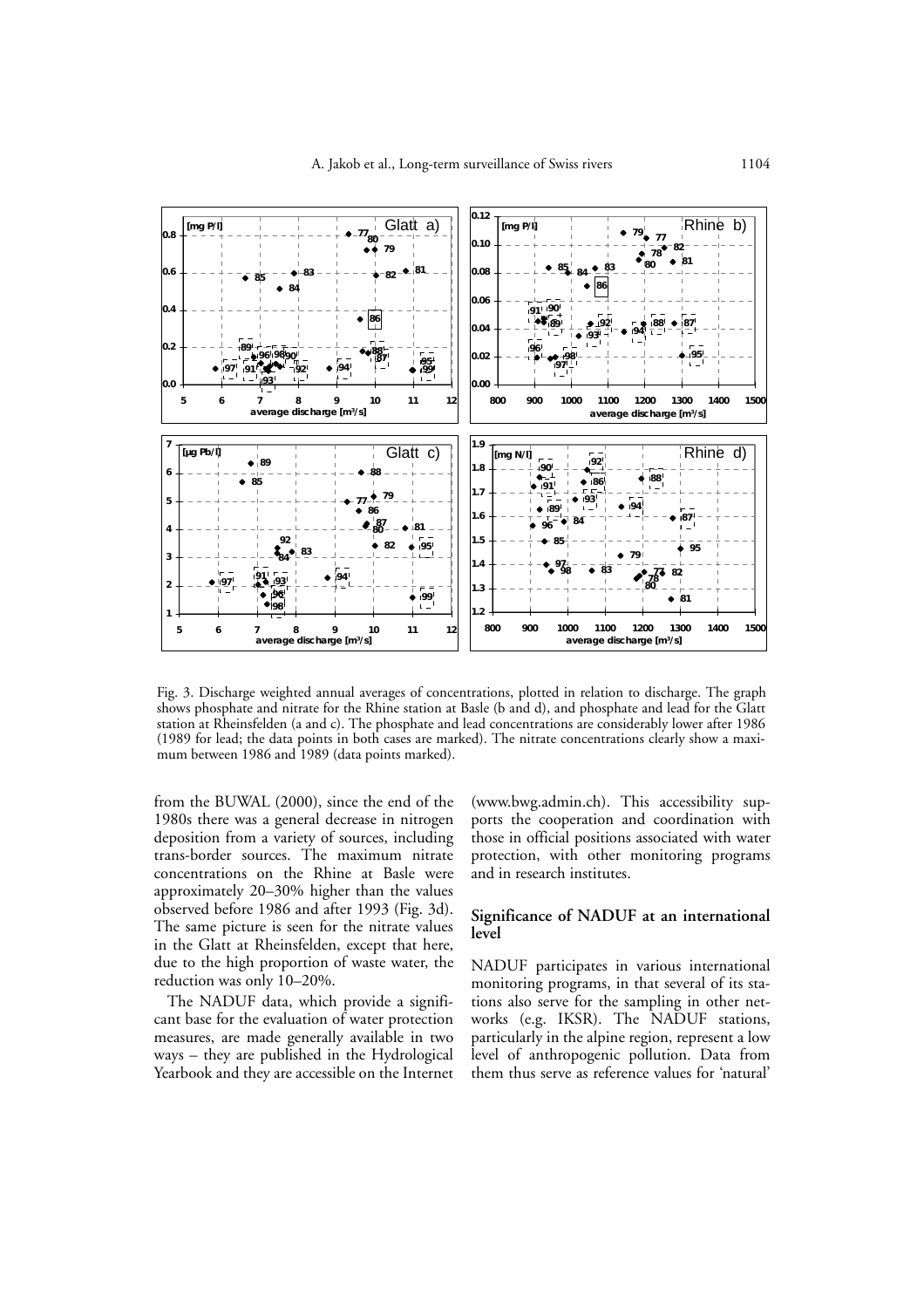

Fig. 3. Discharge weighted annual averages of concentrations, plotted in relation to discharge. The graph shows phosphate and nitrate for the Rhine station at Basle (b and d), and phosphate and lead for the Glatt station at Rheinsfelden (a and c). The phosphate and lead concentrations are considerably lower after 1986 (1989 for lead; the data points in both cases are marked). The nitrate concentrations clearly show a maximum between 1986 and 1989 (data points marked).

from the BUWAL (2000), since the end of the 1980s there was a general decrease in nitrogen deposition from a variety of sources, including trans-border sources. The maximum nitrate concentrations on the Rhine at Basle were approximately 20–30% higher than the values observed before 1986 and after 1993 (Fig. 3d). The same picture is seen for the nitrate values in the Glatt at Rheinsfelden, except that here, due to the high proportion of waste water, the reduction was only 10–20%.

The NADUF data, which provide a significant base for the evaluation of water protection measures, are made generally available in two ways – they are published in the Hydrological Yearbook and they are accessible on the Internet (www.bwg.admin.ch). This accessibility supports the cooperation and coordination with those in official positions associated with water protection, with other monitoring programs and in research institutes.

# **Significance of NADUF at an international level**

NADUF participates in various international monitoring programs, in that several of its stations also serve for the sampling in other networks (e.g. IKSR). The NADUF stations, particularly in the alpine region, represent a low level of anthropogenic pollution. Data from them thus serve as reference values for 'natural'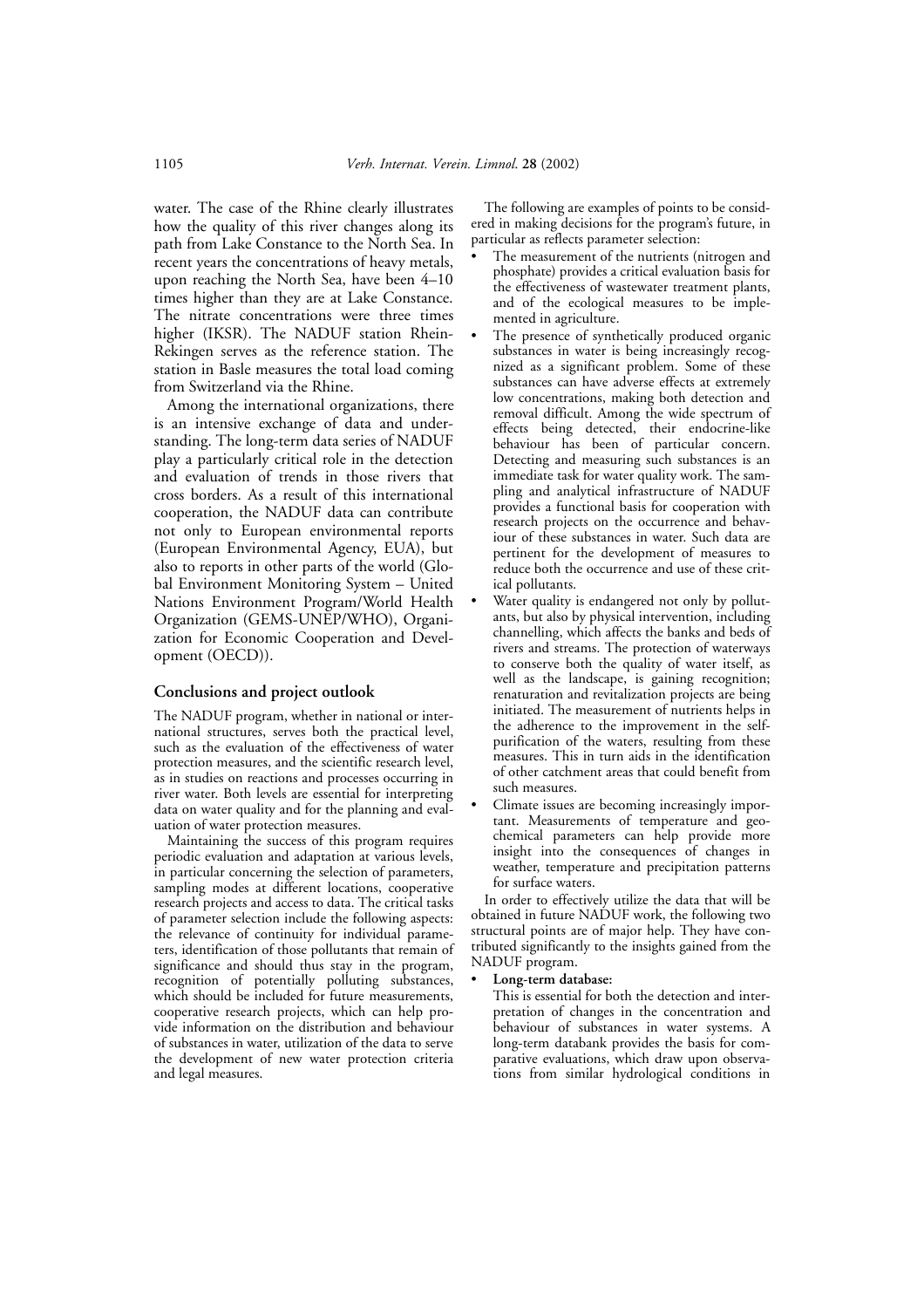water. The case of the Rhine clearly illustrates how the quality of this river changes along its path from Lake Constance to the North Sea. In recent years the concentrations of heavy metals, upon reaching the North Sea, have been 4–10 times higher than they are at Lake Constance. The nitrate concentrations were three times higher (IKSR). The NADUF station Rhein-Rekingen serves as the reference station. The station in Basle measures the total load coming from Switzerland via the Rhine.

Among the international organizations, there is an intensive exchange of data and understanding. The long-term data series of NADUF play a particularly critical role in the detection and evaluation of trends in those rivers that cross borders. As a result of this international cooperation, the NADUF data can contribute not only to European environmental reports (European Environmental Agency, EUA), but also to reports in other parts of the world (Global Environment Monitoring System – United Nations Environment Program/World Health Organization (GEMS-UNEP/WHO), Organization for Economic Cooperation and Development (OECD)).

#### **Conclusions and project outlook**

The NADUF program, whether in national or international structures, serves both the practical level, such as the evaluation of the effectiveness of water protection measures, and the scientific research level, as in studies on reactions and processes occurring in river water. Both levels are essential for interpreting data on water quality and for the planning and evaluation of water protection measures.

Maintaining the success of this program requires periodic evaluation and adaptation at various levels, in particular concerning the selection of parameters, sampling modes at different locations, cooperative research projects and access to data. The critical tasks of parameter selection include the following aspects: the relevance of continuity for individual parameters, identification of those pollutants that remain of significance and should thus stay in the program, recognition of potentially polluting substances, which should be included for future measurements, cooperative research projects, which can help provide information on the distribution and behaviour of substances in water, utilization of the data to serve the development of new water protection criteria and legal measures.

The following are examples of points to be considered in making decisions for the program's future, in particular as reflects parameter selection:

- The measurement of the nutrients (nitrogen and phosphate) provides a critical evaluation basis for the effectiveness of wastewater treatment plants, and of the ecological measures to be implemented in agriculture.
- The presence of synthetically produced organic substances in water is being increasingly recognized as a significant problem. Some of these substances can have adverse effects at extremely low concentrations, making both detection and removal difficult. Among the wide spectrum of effects being detected, their endocrine-like behaviour has been of particular concern. Detecting and measuring such substances is an immediate task for water quality work. The sampling and analytical infrastructure of NADUF provides a functional basis for cooperation with research projects on the occurrence and behaviour of these substances in water. Such data are pertinent for the development of measures to reduce both the occurrence and use of these critical pollutants.
- Water quality is endangered not only by pollutants, but also by physical intervention, including channelling, which affects the banks and beds of rivers and streams. The protection of waterways to conserve both the quality of water itself, as well as the landscape, is gaining recognition; renaturation and revitalization projects are being initiated. The measurement of nutrients helps in the adherence to the improvement in the selfpurification of the waters, resulting from these measures. This in turn aids in the identification of other catchment areas that could benefit from such measures.
- Climate issues are becoming increasingly important. Measurements of temperature and geochemical parameters can help provide more insight into the consequences of changes in weather, temperature and precipitation patterns for surface waters.

In order to effectively utilize the data that will be obtained in future NADUF work, the following two structural points are of major help. They have contributed significantly to the insights gained from the NADUF program.

• **Long-term database:**

This is essential for both the detection and interpretation of changes in the concentration and behaviour of substances in water systems. A long-term databank provides the basis for comparative evaluations, which draw upon observations from similar hydrological conditions in